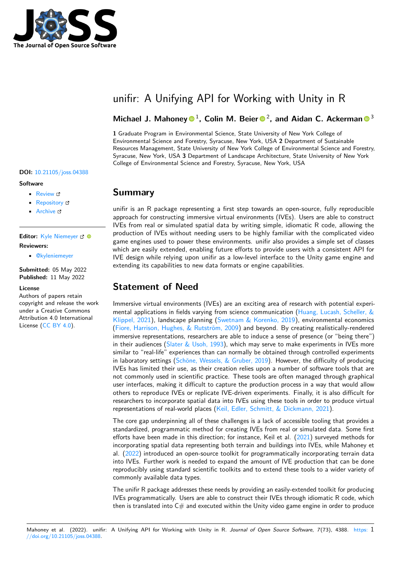

# unifir: A Unifying API for Working with Unity in R

### Michael J. Mahoney <sup>1</sup>, Colin M. Beier <sup>2</sup>, and Aidan C. Ackerman <sup>3</sup>

**1** Graduate Program in Environmental Science, State University of New York College of Environmental Science and Forestry, Syracuse, New York, USA **2** Department of Sustainable Resources Management, State University of New York College of Environmental Science and Forestry, Syracuse, New York, USA **3** Department of Landscape Architecture, State University of New York College of Environmental Science and Forestry, Syracuse, New York, USA

#### **DOI:** [10.21105/joss.04388](https://doi.org/10.21105/joss.04388)

#### **Software**

- [Review](https://github.com/openjournals/joss-reviews/issues/4388) &
- [Repository](https://github.com/ropensci/unifir) &
- [Archive](https://doi.org/10.5281/zenodo.6539478)

**Editor:** [Kyle Niemeyer](https://niemeyer-research-group.github.io) & @ **Reviewers:**

• [@kyleniemeyer](https://github.com/kyleniemeyer)

**Submitted:** 05 May 2022 **Published:** 11 May 2022

### **License**

Authors of papers retain copyright and release the work under a Creative Commons Attribution 4.0 International License [\(CC BY 4.0\)](https://creativecommons.org/licenses/by/4.0/).

### **Summary**

unifir is an R package representing a first step towards an open-source, fully reproducible approach for constructing immersive virtual environments (IVEs). Users are able to construct IVEs from real or simulated spatial data by writing simple, idiomatic R code, allowing the production of IVEs without needing users to be highly familiar with the complicated video game engines used to power these environments. unifir also provides a simple set of classes which are easily extended, enabling future efforts to provide users with a consistent API for IVE design while relying upon unifir as a low-level interface to the Unity game engine and extending its capabilities to new data formats or engine capabilities.

## **Statement of Need**

Immersive virtual environments (IVEs) are an exciting area of research with potential experi-mental applications in fields varying from science communication [\(Huang, Lucash, Scheller, &](#page-2-0) [Klippel, 2021\)](#page-2-0), landscape planning [\(Swetnam & Korenko, 2019\)](#page-2-1), environmental economics [\(Fiore, Harrison, Hughes, & Rutström, 2009\)](#page-2-2) and beyond. By creating realistically-rendered immersive representations, researchers are able to induce a sense of presence (or "being there") in their audiences [\(Slater & Usoh, 1993\)](#page-2-3), which may serve to make experiments in IVEs more similar to "real-life" experiences than can normally be obtained through controlled experiments in laboratory settings [\(Schöne, Wessels, & Gruber, 2019\)](#page-2-4). However, the difficulty of producing IVEs has limited their use, as their creation relies upon a number of software tools that are not commonly used in scientific practice. These tools are often managed through graphical user interfaces, making it difficult to capture the production process in a way that would allow others to reproduce IVEs or replicate IVE-driven experiments. Finally, it is also difficult for researchers to incorporate spatial data into IVEs using these tools in order to produce virtual representations of real-world places [\(Keil, Edler, Schmitt, & Dickmann, 2021\)](#page-2-5).

The core gap underpinning all of these challenges is a lack of accessible tooling that provides a standardized, programmatic method for creating IVEs from real or simulated data. Some first efforts have been made in this direction; for instance, Keil et al. [\(2021\)](#page-2-5) surveyed methods for incorporating spatial data representing both terrain and buildings into IVEs, while Mahoney et al. [\(2022\)](#page-2-6) introduced an open-source toolkit for programmatically incorporating terrain data into IVEs. Further work is needed to expand the amount of IVE production that can be done reproducibly using standard scientific toolkits and to extend these tools to a wider variety of commonly available data types.

The unifir R package addresses these needs by providing an easily-extended toolkit for producing IVEs programmatically. Users are able to construct their IVEs through idiomatic R code, which then is translated into  $C#$  and executed within the Unity video game engine in order to produce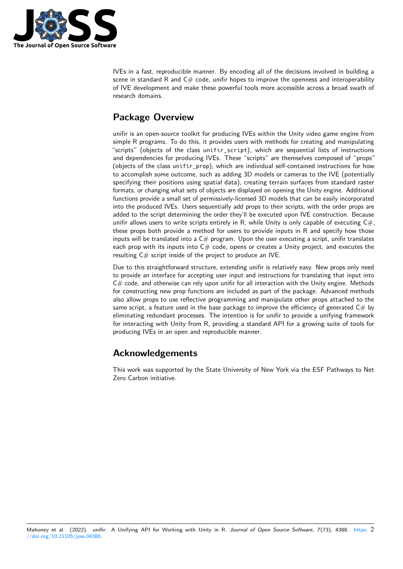

IVEs in a fast, reproducible manner. By encoding all of the decisions involved in building a scene in standard R and  $C\#$  code, unifir hopes to improve the openness and interoperability of IVE development and make these powerful tools more accessible across a broad swath of research domains.

## **Package Overview**

unifir is an open-source toolkit for producing IVEs within the Unity video game engine from simple R programs. To do this, it provides users with methods for creating and manipulating "scripts" (objects of the class unifir\_script), which are sequential lists of instructions and dependencies for producing IVEs. These "scripts" are themselves composed of "props" (objects of the class unifir\_prop), which are individual self-contained instructions for how to accomplish some outcome, such as adding 3D models or cameras to the IVE (potentially specifying their positions using spatial data), creating terrain surfaces from standard raster formats, or changing what sets of objects are displayed on opening the Unity engine. Additional functions provide a small set of permissively-licensed 3D models that can be easily incorporated into the produced IVEs. Users sequentially add props to their scripts, with the order props are added to the script determining the order they'll be executed upon IVE construction. Because unifir allows users to write scripts entirely in R, while Unity is only capable of executing  $C\#$ , these props both provide a method for users to provide inputs in R and specify how those inputs will be translated into a  $C#$  program. Upon the user executing a script, unifir translates each prop with its inputs into  $C#$  code, opens or creates a Unity project, and executes the resulting  $C#$  script inside of the project to produce an IVE.

Due to this straightforward structure, extending unifir is relatively easy. New props only need to provide an interface for accepting user input and instructions for translating that input into  $C#$  code, and otherwise can rely upon unifir for all interaction with the Unity engine. Methods for constructing new prop functions are included as part of the package. Advanced methods also allow props to use reflective programming and manipulate other props attached to the same script, a feature used in the base package to improve the efficiency of generated  $C#$  by eliminating redundant processes. The intention is for unifir to provide a unifying framework for interacting with Unity from R, providing a standard API for a growing suite of tools for producing IVEs in an open and reproducible manner.

## **Acknowledgements**

This work was supported by the State University of New York via the ESF Pathways to Net Zero Carbon initiative.